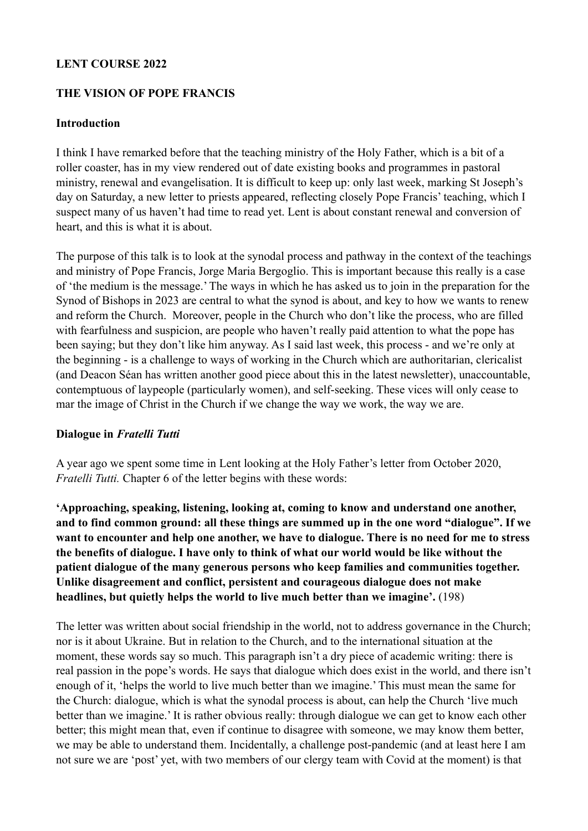#### **LENT COURSE 2022**

#### **THE VISION OF POPE FRANCIS**

#### **Introduction**

I think I have remarked before that the teaching ministry of the Holy Father, which is a bit of a roller coaster, has in my view rendered out of date existing books and programmes in pastoral ministry, renewal and evangelisation. It is difficult to keep up: only last week, marking St Joseph's day on Saturday, a new letter to priests appeared, reflecting closely Pope Francis' teaching, which I suspect many of us haven't had time to read yet. Lent is about constant renewal and conversion of heart, and this is what it is about.

The purpose of this talk is to look at the synodal process and pathway in the context of the teachings and ministry of Pope Francis, Jorge Maria Bergoglio. This is important because this really is a case of 'the medium is the message.' The ways in which he has asked us to join in the preparation for the Synod of Bishops in 2023 are central to what the synod is about, and key to how we wants to renew and reform the Church. Moreover, people in the Church who don't like the process, who are filled with fearfulness and suspicion, are people who haven't really paid attention to what the pope has been saying; but they don't like him anyway. As I said last week, this process - and we're only at the beginning - is a challenge to ways of working in the Church which are authoritarian, clericalist (and Deacon Séan has written another good piece about this in the latest newsletter), unaccountable, contemptuous of laypeople (particularly women), and self-seeking. These vices will only cease to mar the image of Christ in the Church if we change the way we work, the way we are.

#### **Dialogue in** *Fratelli Tutti*

A year ago we spent some time in Lent looking at the Holy Father's letter from October 2020, *Fratelli Tutti.* Chapter 6 of the letter begins with these words:

**'Approaching, speaking, listening, looking at, coming to know and understand one another, and to find common ground: all these things are summed up in the one word "dialogue". If we want to encounter and help one another, we have to dialogue. There is no need for me to stress the benefits of dialogue. I have only to think of what our world would be like without the patient dialogue of the many generous persons who keep families and communities together. Unlike disagreement and conflict, persistent and courageous dialogue does not make headlines, but quietly helps the world to live much better than we imagine'.** (198)

The letter was written about social friendship in the world, not to address governance in the Church; nor is it about Ukraine. But in relation to the Church, and to the international situation at the moment, these words say so much. This paragraph isn't a dry piece of academic writing: there is real passion in the pope's words. He says that dialogue which does exist in the world, and there isn't enough of it, 'helps the world to live much better than we imagine.' This must mean the same for the Church: dialogue, which is what the synodal process is about, can help the Church 'live much better than we imagine.' It is rather obvious really: through dialogue we can get to know each other better; this might mean that, even if continue to disagree with someone, we may know them better, we may be able to understand them. Incidentally, a challenge post-pandemic (and at least here I am not sure we are 'post' yet, with two members of our clergy team with Covid at the moment) is that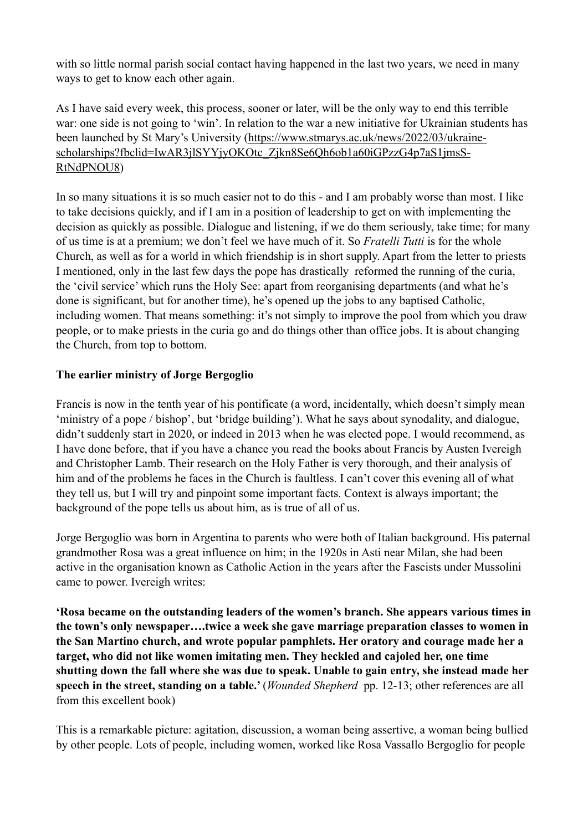with so little normal parish social contact having happened in the last two years, we need in many ways to get to know each other again.

As I have said every week, this process, sooner or later, will be the only way to end this terrible war: one side is not going to 'win'. In relation to the war a new initiative for Ukrainian students has been launched by St Mary's University [\(https://www.stmarys.ac.uk/news/2022/03/ukraine](https://www.stmarys.ac.uk/news/2022/03/ukraine-scholarships?fbclid=IwAR3jlSYYjyOKOtc_Zjkn8Se6Qh6ob1a60iGPzzG4p7aS1jmsS-RtNdPNOU8)[scholarships?fbclid=IwAR3jlSYYjyOKOtc\\_Zjkn8Se6Qh6ob1a60iGPzzG4p7aS1jmsS-](https://www.stmarys.ac.uk/news/2022/03/ukraine-scholarships?fbclid=IwAR3jlSYYjyOKOtc_Zjkn8Se6Qh6ob1a60iGPzzG4p7aS1jmsS-RtNdPNOU8)[RtNdPNOU8](https://www.stmarys.ac.uk/news/2022/03/ukraine-scholarships?fbclid=IwAR3jlSYYjyOKOtc_Zjkn8Se6Qh6ob1a60iGPzzG4p7aS1jmsS-RtNdPNOU8))

In so many situations it is so much easier not to do this - and I am probably worse than most. I like to take decisions quickly, and if I am in a position of leadership to get on with implementing the decision as quickly as possible. Dialogue and listening, if we do them seriously, take time; for many of us time is at a premium; we don't feel we have much of it. So *Fratelli Tutti* is for the whole Church, as well as for a world in which friendship is in short supply. Apart from the letter to priests I mentioned, only in the last few days the pope has drastically reformed the running of the curia, the 'civil service' which runs the Holy See: apart from reorganising departments (and what he's done is significant, but for another time), he's opened up the jobs to any baptised Catholic, including women. That means something: it's not simply to improve the pool from which you draw people, or to make priests in the curia go and do things other than office jobs. It is about changing the Church, from top to bottom.

#### **The earlier ministry of Jorge Bergoglio**

Francis is now in the tenth year of his pontificate (a word, incidentally, which doesn't simply mean 'ministry of a pope / bishop', but 'bridge building'). What he says about synodality, and dialogue, didn't suddenly start in 2020, or indeed in 2013 when he was elected pope. I would recommend, as I have done before, that if you have a chance you read the books about Francis by Austen Ivereigh and Christopher Lamb. Their research on the Holy Father is very thorough, and their analysis of him and of the problems he faces in the Church is faultless. I can't cover this evening all of what they tell us, but I will try and pinpoint some important facts. Context is always important; the background of the pope tells us about him, as is true of all of us.

Jorge Bergoglio was born in Argentina to parents who were both of Italian background. His paternal grandmother Rosa was a great influence on him; in the 1920s in Asti near Milan, she had been active in the organisation known as Catholic Action in the years after the Fascists under Mussolini came to power. Ivereigh writes:

**'Rosa became on the outstanding leaders of the women's branch. She appears various times in the town's only newspaper….twice a week she gave marriage preparation classes to women in the San Martino church, and wrote popular pamphlets. Her oratory and courage made her a target, who did not like women imitating men. They heckled and cajoled her, one time shutting down the fall where she was due to speak. Unable to gain entry, she instead made her speech in the street, standing on a table.'** (*Wounded Shepherd* pp. 12-13; other references are all from this excellent book)

This is a remarkable picture: agitation, discussion, a woman being assertive, a woman being bullied by other people. Lots of people, including women, worked like Rosa Vassallo Bergoglio for people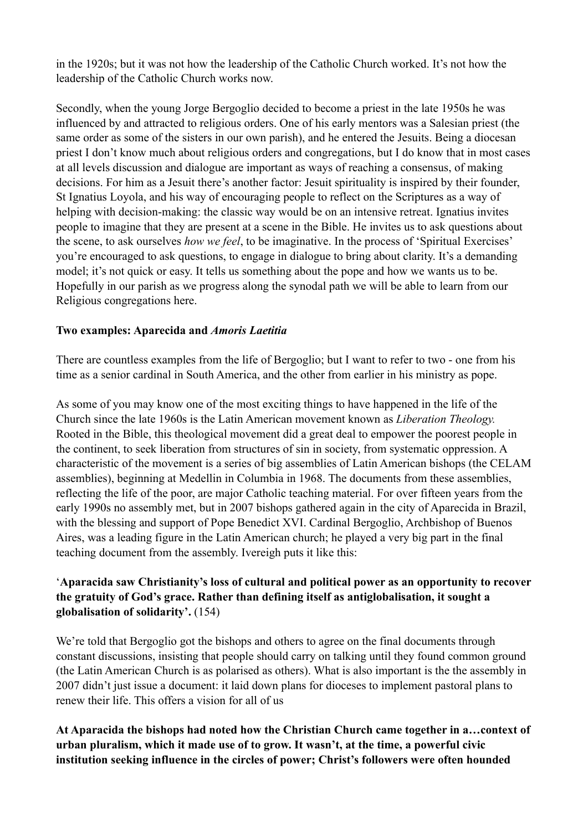in the 1920s; but it was not how the leadership of the Catholic Church worked. It's not how the leadership of the Catholic Church works now.

Secondly, when the young Jorge Bergoglio decided to become a priest in the late 1950s he was influenced by and attracted to religious orders. One of his early mentors was a Salesian priest (the same order as some of the sisters in our own parish), and he entered the Jesuits. Being a diocesan priest I don't know much about religious orders and congregations, but I do know that in most cases at all levels discussion and dialogue are important as ways of reaching a consensus, of making decisions. For him as a Jesuit there's another factor: Jesuit spirituality is inspired by their founder, St Ignatius Loyola, and his way of encouraging people to reflect on the Scriptures as a way of helping with decision-making: the classic way would be on an intensive retreat. Ignatius invites people to imagine that they are present at a scene in the Bible. He invites us to ask questions about the scene, to ask ourselves *how we feel*, to be imaginative. In the process of 'Spiritual Exercises' you're encouraged to ask questions, to engage in dialogue to bring about clarity. It's a demanding model; it's not quick or easy. It tells us something about the pope and how we wants us to be. Hopefully in our parish as we progress along the synodal path we will be able to learn from our Religious congregations here.

#### **Two examples: Aparecida and** *Amoris Laetitia*

There are countless examples from the life of Bergoglio; but I want to refer to two - one from his time as a senior cardinal in South America, and the other from earlier in his ministry as pope.

As some of you may know one of the most exciting things to have happened in the life of the Church since the late 1960s is the Latin American movement known as *Liberation Theology.*  Rooted in the Bible, this theological movement did a great deal to empower the poorest people in the continent, to seek liberation from structures of sin in society, from systematic oppression. A characteristic of the movement is a series of big assemblies of Latin American bishops (the CELAM assemblies), beginning at Medellin in Columbia in 1968. The documents from these assemblies, reflecting the life of the poor, are major Catholic teaching material. For over fifteen years from the early 1990s no assembly met, but in 2007 bishops gathered again in the city of Aparecida in Brazil, with the blessing and support of Pope Benedict XVI. Cardinal Bergoglio, Archbishop of Buenos Aires, was a leading figure in the Latin American church; he played a very big part in the final teaching document from the assembly. Ivereigh puts it like this:

## '**Aparacida saw Christianity's loss of cultural and political power as an opportunity to recover the gratuity of God's grace. Rather than defining itself as antiglobalisation, it sought a globalisation of solidarity'.** (154)

We're told that Bergoglio got the bishops and others to agree on the final documents through constant discussions, insisting that people should carry on talking until they found common ground (the Latin American Church is as polarised as others). What is also important is the the assembly in 2007 didn't just issue a document: it laid down plans for dioceses to implement pastoral plans to renew their life. This offers a vision for all of us

# **At Aparacida the bishops had noted how the Christian Church came together in a…context of urban pluralism, which it made use of to grow. It wasn't, at the time, a powerful civic institution seeking influence in the circles of power; Christ's followers were often hounded**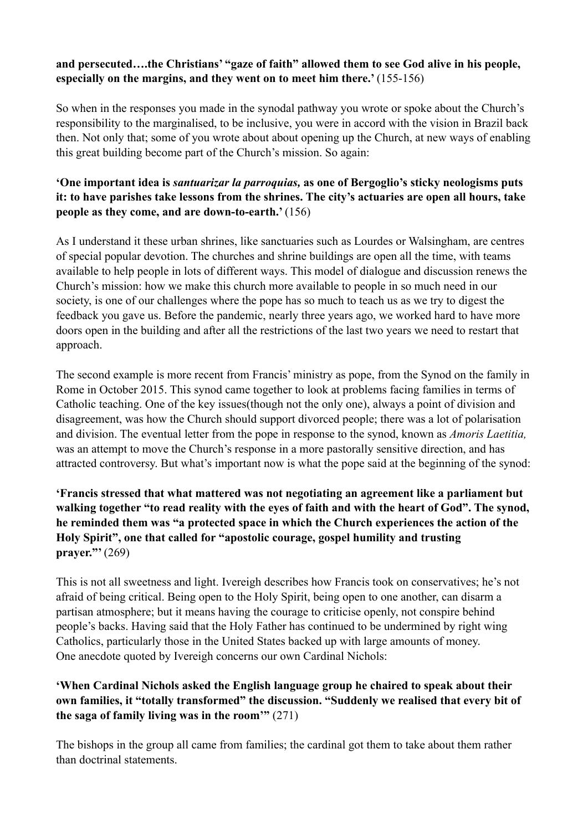## **and persecuted….the Christians' "gaze of faith" allowed them to see God alive in his people, especially on the margins, and they went on to meet him there.'** (155-156)

So when in the responses you made in the synodal pathway you wrote or spoke about the Church's responsibility to the marginalised, to be inclusive, you were in accord with the vision in Brazil back then. Not only that; some of you wrote about about opening up the Church, at new ways of enabling this great building become part of the Church's mission. So again:

# **'One important idea is** *santuarizar la parroquias,* **as one of Bergoglio's sticky neologisms puts it: to have parishes take lessons from the shrines. The city's actuaries are open all hours, take people as they come, and are down-to-earth.'** (156)

As I understand it these urban shrines, like sanctuaries such as Lourdes or Walsingham, are centres of special popular devotion. The churches and shrine buildings are open all the time, with teams available to help people in lots of different ways. This model of dialogue and discussion renews the Church's mission: how we make this church more available to people in so much need in our society, is one of our challenges where the pope has so much to teach us as we try to digest the feedback you gave us. Before the pandemic, nearly three years ago, we worked hard to have more doors open in the building and after all the restrictions of the last two years we need to restart that approach.

The second example is more recent from Francis' ministry as pope, from the Synod on the family in Rome in October 2015. This synod came together to look at problems facing families in terms of Catholic teaching. One of the key issues(though not the only one), always a point of division and disagreement, was how the Church should support divorced people; there was a lot of polarisation and division. The eventual letter from the pope in response to the synod, known as *Amoris Laetitia,*  was an attempt to move the Church's response in a more pastorally sensitive direction, and has attracted controversy. But what's important now is what the pope said at the beginning of the synod:

# **'Francis stressed that what mattered was not negotiating an agreement like a parliament but walking together "to read reality with the eyes of faith and with the heart of God". The synod, he reminded them was "a protected space in which the Church experiences the action of the Holy Spirit", one that called for "apostolic courage, gospel humility and trusting prayer."'** (269)

This is not all sweetness and light. Ivereigh describes how Francis took on conservatives; he's not afraid of being critical. Being open to the Holy Spirit, being open to one another, can disarm a partisan atmosphere; but it means having the courage to criticise openly, not conspire behind people's backs. Having said that the Holy Father has continued to be undermined by right wing Catholics, particularly those in the United States backed up with large amounts of money. One anecdote quoted by Ivereigh concerns our own Cardinal Nichols:

## **'When Cardinal Nichols asked the English language group he chaired to speak about their own families, it "totally transformed" the discussion. "Suddenly we realised that every bit of the saga of family living was in the room'"** (271)

The bishops in the group all came from families; the cardinal got them to take about them rather than doctrinal statements.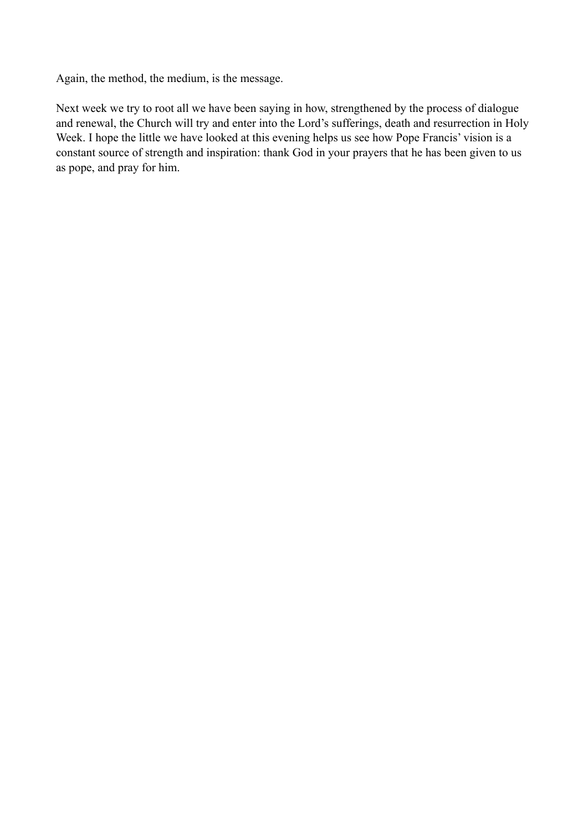Again, the method, the medium, is the message.

Next week we try to root all we have been saying in how, strengthened by the process of dialogue and renewal, the Church will try and enter into the Lord's sufferings, death and resurrection in Holy Week. I hope the little we have looked at this evening helps us see how Pope Francis' vision is a constant source of strength and inspiration: thank God in your prayers that he has been given to us as pope, and pray for him.